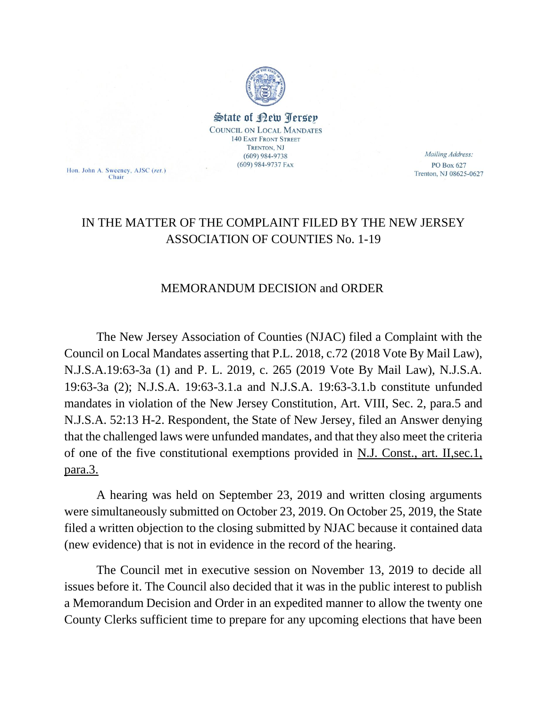

State of Rew <u>Perse</u>p **COUNCIL ON LOCAL MANDATES 140 EAST FRONT STREET** TRENTON, NJ  $(609)$  984-9738  $(609)$  984-9737 FAX

Hon. John A. Sweeney, AJSC (ret.) Chair

Mailing Address: PO Box 627 Trenton, NJ 08625-0627

## IN THE MATTER OF THE COMPLAINT FILED BY THE NEW JERSEY ASSOCIATION OF COUNTIES No. 1-19

## MEMORANDUM DECISION and ORDER

The New Jersey Association of Counties (NJAC) filed a Complaint with the Council on Local Mandates asserting that P.L. 2018, c.72 (2018 Vote By Mail Law), N.J.S.A.19:63-3a (1) and P. L. 2019, c. 265 (2019 Vote By Mail Law), N.J.S.A. 19:63-3a (2); N.J.S.A. 19:63-3.1.a and N.J.S.A. 19:63-3.1.b constitute unfunded mandates in violation of the New Jersey Constitution, Art. VIII, Sec. 2, para.5 and N.J.S.A. 52:13 H-2. Respondent, the State of New Jersey, filed an Answer denying that the challenged laws were unfunded mandates, and that they also meet the criteria of one of the five constitutional exemptions provided in N.J. Const., art. II,sec.1, para.3.

A hearing was held on September 23, 2019 and written closing arguments were simultaneously submitted on October 23, 2019. On October 25, 2019, the State filed a written objection to the closing submitted by NJAC because it contained data (new evidence) that is not in evidence in the record of the hearing.

The Council met in executive session on November 13, 2019 to decide all issues before it. The Council also decided that it was in the public interest to publish a Memorandum Decision and Order in an expedited manner to allow the twenty one County Clerks sufficient time to prepare for any upcoming elections that have been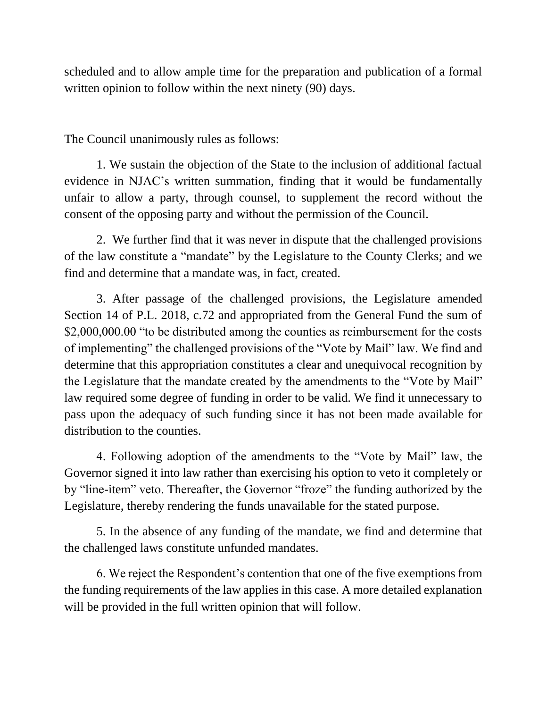scheduled and to allow ample time for the preparation and publication of a formal written opinion to follow within the next ninety (90) days.

The Council unanimously rules as follows:

1. We sustain the objection of the State to the inclusion of additional factual evidence in NJAC's written summation, finding that it would be fundamentally unfair to allow a party, through counsel, to supplement the record without the consent of the opposing party and without the permission of the Council.

2. We further find that it was never in dispute that the challenged provisions of the law constitute a "mandate" by the Legislature to the County Clerks; and we find and determine that a mandate was, in fact, created.

3. After passage of the challenged provisions, the Legislature amended Section 14 of P.L. 2018, c.72 and appropriated from the General Fund the sum of \$2,000,000.00 "to be distributed among the counties as reimbursement for the costs of implementing" the challenged provisions of the "Vote by Mail" law. We find and determine that this appropriation constitutes a clear and unequivocal recognition by the Legislature that the mandate created by the amendments to the "Vote by Mail" law required some degree of funding in order to be valid. We find it unnecessary to pass upon the adequacy of such funding since it has not been made available for distribution to the counties.

4. Following adoption of the amendments to the "Vote by Mail" law, the Governor signed it into law rather than exercising his option to veto it completely or by "line-item" veto. Thereafter, the Governor "froze" the funding authorized by the Legislature, thereby rendering the funds unavailable for the stated purpose.

5. In the absence of any funding of the mandate, we find and determine that the challenged laws constitute unfunded mandates.

6. We reject the Respondent's contention that one of the five exemptions from the funding requirements of the law applies in this case. A more detailed explanation will be provided in the full written opinion that will follow.